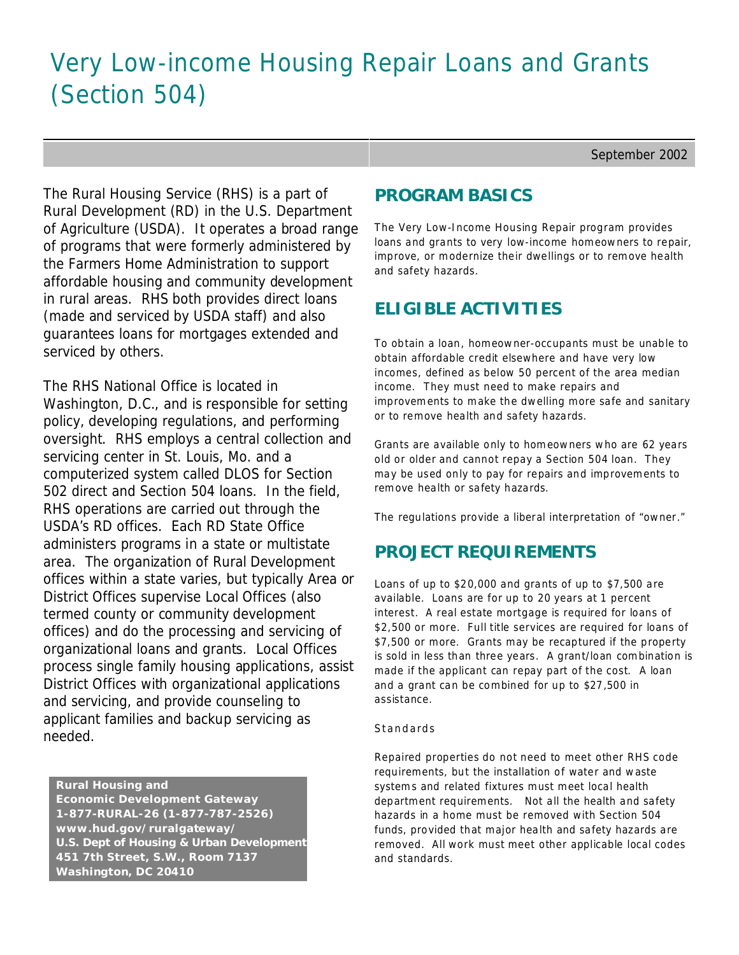# Very Low-income Housing Repair Loans and Grants (Section 504)

September 2002

The Rural Housing Service (RHS) is a part of Rural Development (RD) in the U.S. Department of Agriculture (USDA). It operates a broad range of programs that were formerly administered by the Farmers Home Administration to support affordable housing and community development in rural areas. RHS both provides direct loans (made and serviced by USDA staff) and also guarantees loans for mortgages extended and serviced by others.

The RHS National Office is located in Washington, D.C., and is responsible for setting policy, developing regulations, and performing oversight. RHS employs a central collection and servicing center in St. Louis, Mo. and a computerized system called DLOS for Section 502 direct and Section 504 loans. In the field, RHS operations are carried out through the USDA's RD offices. Each RD State Office administers programs in a state or multistate area. The organization of Rural Development offices within a state varies, but typically Area or District Offices supervise Local Offices (also termed county or community development offices) and do the processing and servicing of organizational loans and grants. Local Offices process single family housing applications, assist District Offices with organizational applications and servicing, and provide counseling to applicant families and backup servicing as needed.

 **Rural Housing and Economic Development Gateway 1-877-RURAL-26 (1-877-787-2526) www.hud.gov/ruralgateway/ U.S. Dept of Housing & Urban Development 451 7th Street, S.W., Room 7137 Washington, DC 20410**

### **PROGRAM BASICS**

The Very Low-Income Housing Repair program provides loans and grants to very low-income homeowners to repair, improve, or modernize their dwellings or to remove health and safety hazards.

# **ELIGIBLE ACTIVITIES**

To obtain a loan, homeowner-occupants must be unable to obtain affordable credit elsewhere and have very low incomes, defined as below 50 percent of the area median income. They must need to make repairs and improvements to make the dwelling more safe and sanitary or to remove health and safety hazards.

Grants are available only to homeowners who are 62 years old or older and cannot repay a Section 504 loan. They may be used only to pay for repairs and improvements to remove health or safety hazards.

The regulations provide a liberal interpretation of "owner."

# **PROJECT REQUIREMENTS**

Loans of up to \$20,000 and grants of up to \$7,500 are available. Loans are for up to 20 years at 1 percent interest. A real estate mortgage is required for loans of \$2,500 or more. Full title services are required for loans of \$7,500 or more. Grants may be recaptured if the property is sold in less than three years. A grant/loan combination is made if the applicant can repay part of the cost. A loan and a grant can be combined for up to \$27,500 in assistance.

#### *Standards*

Repaired properties do not need to meet other RHS code requirements, but the installation of water and waste systems and related fixtures must meet local health department requirements. Not all the health and safety hazards in a home must be removed with Section 504 funds, provided that major health and safety hazards are removed. All work must meet other applicable local codes and standards.